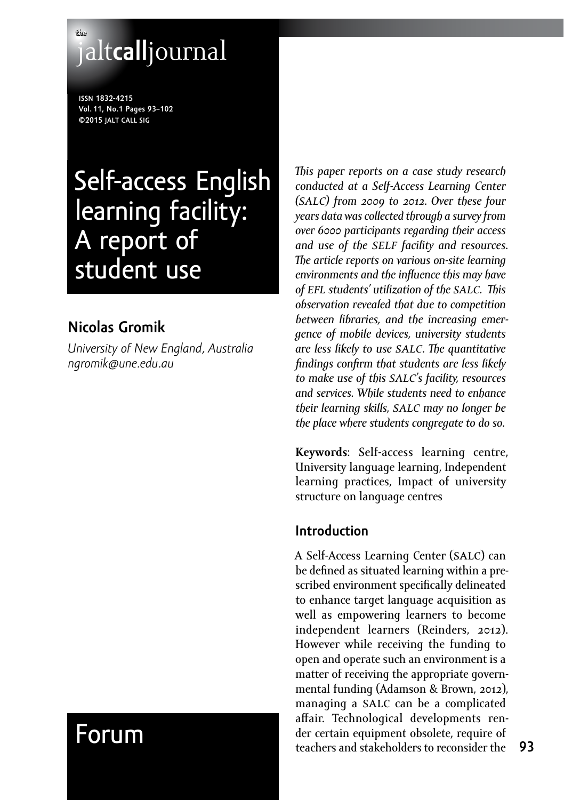## **the** jalt**call**journal

**issn 1832-4215 Vol. 11, No.1 Pages 93–102 ©2015 jalt call sig**

# Self-access English learning facility: A report of student use

## **Nicolas Gromik**

*University of New England, Australia [ngromik@une.edu.au](mailto:ngromik@une.edu.au)*

*This paper reports on a case study research conducted at a Self-Access Learning Center (salc) from 2009 to 2012. Over these four years data was collected through a survey from over 6000 participants regarding their access and use of the self facility and resources. The article reports on various on-site learning environments and the influence this may have of efl students' utilization of the salc. This observation revealed that due to competition between libraries, and the increasing emergence of mobile devices, university students are less likely to use salc. The quantitative findings confirm that students are less likely to make use of this salc's facility, resources and services. While students need to enhance their learning skills, salc may no longer be the place where students congregate to do so.*

**Keywords**: Self-access learning centre, University language learning, Independent learning practices, Impact of university structure on language centres

### **Introduction**

A Self-Access Learning Center (salc) can be defined as situated learning within a prescribed environment specifically delineated to enhance target language acquisition as well as empowering learners to become independent learners (Reinders, 2012). However while receiving the funding to open and operate such an environment is a matter of receiving the appropriate governmental funding (Adamson & Brown, 2012), managing a salc can be a complicated affair. Technological developments render certain equipment obsolete, require of teachers and stakeholders to reconsider the

## Forum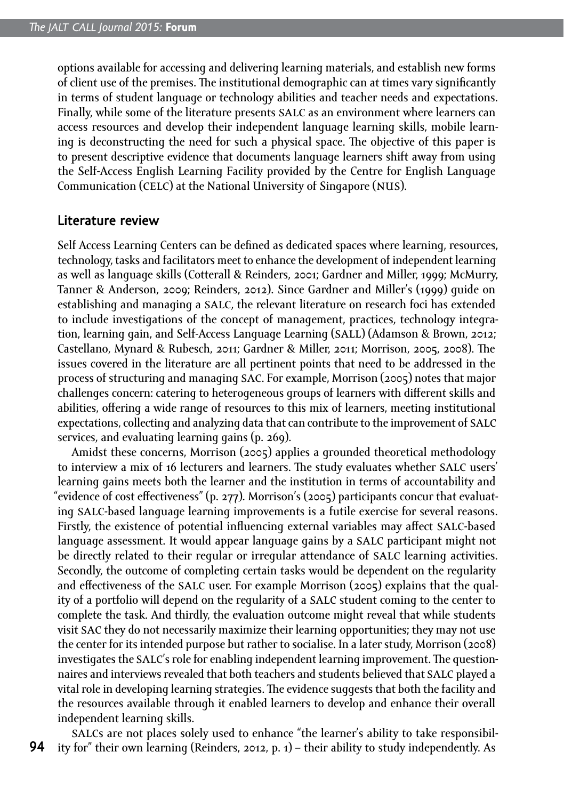options available for accessing and delivering learning materials, and establish new forms of client use of the premises. The institutional demographic can at times vary significantly in terms of student language or technology abilities and teacher needs and expectations. Finally, while some of the literature presents salc as an environment where learners can access resources and develop their independent language learning skills, mobile learning is deconstructing the need for such a physical space. The objective of this paper is to present descriptive evidence that documents language learners shift away from using the Self-Access English Learning Facility provided by the Centre for English Language Communication (celc) at the National University of Singapore (nus).

#### **Literature review**

Self Access Learning Centers can be defined as dedicated spaces where learning, resources, technology, tasks and facilitators meet to enhance the development of independent learning as well as language skills (Cotterall & Reinders, 2001; Gardner and Miller, 1999; McMurry, Tanner & Anderson, 2009; Reinders, 2012). Since Gardner and Miller's (1999) guide on establishing and managing a salc, the relevant literature on research foci has extended to include investigations of the concept of management, practices, technology integration, learning gain, and Self-Access Language Learning (sall) (Adamson & Brown, 2012; Castellano, Mynard & Rubesch, 2011; Gardner & Miller, 2011; Morrison, 2005, 2008). The issues covered in the literature are all pertinent points that need to be addressed in the process of structuring and managing sac. For example, Morrison (2005) notes that major challenges concern: catering to heterogeneous groups of learners with different skills and abilities, offering a wide range of resources to this mix of learners, meeting institutional expectations, collecting and analyzing data that can contribute to the improvement of salc services, and evaluating learning gains (p. 269).

Amidst these concerns, Morrison (2005) applies a grounded theoretical methodology to interview a mix of 16 lecturers and learners. The study evaluates whether salc users' learning gains meets both the learner and the institution in terms of accountability and "evidence of cost effectiveness" (p. 277). Morrison's (2005) participants concur that evaluating salc-based language learning improvements is a futile exercise for several reasons. Firstly, the existence of potential influencing external variables may affect salc-based language assessment. It would appear language gains by a salc participant might not be directly related to their reqular or irreqular attendance of SALC learning activities. Secondly, the outcome of completing certain tasks would be dependent on the regularity and effectiveness of the salc user. For example Morrison (2005) explains that the quality of a portfolio will depend on the regularity of a salc student coming to the center to complete the task. And thirdly, the evaluation outcome might reveal that while students visit sac they do not necessarily maximize their learning opportunities; they may not use the center for its intended purpose but rather to socialise. In a later study, Morrison (2008) investigates the salc's role for enabling independent learning improvement. The questionnaires and interviews revealed that both teachers and students believed that salc played a vital role in developing learning strategies. The evidence suggests that both the facility and the resources available through it enabled learners to develop and enhance their overall independent learning skills.

**94** salcs are not places solely used to enhance "the learner's ability to take responsibility for" their own learning (Reinders, 2012, p. 1) – their ability to study independently. As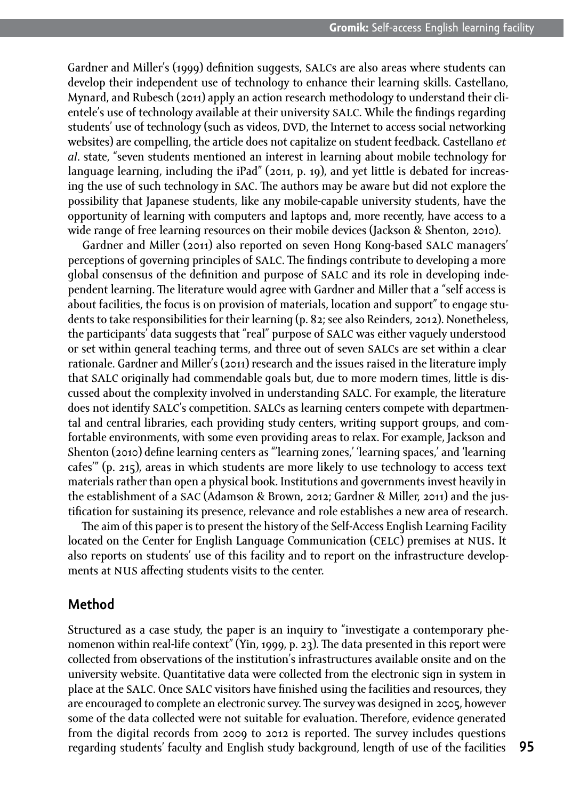Gardner and Miller's (1999) definition suggests, salcs are also areas where students can develop their independent use of technology to enhance their learning skills. Castellano, Mynard, and Rubesch (2011) apply an action research methodology to understand their clientele's use of technology available at their university salc. While the findings regarding students' use of technology (such as videos, DVD, the Internet to access social networking websites) are compelling, the article does not capitalize on student feedback. Castellano *et al*. state, "seven students mentioned an interest in learning about mobile technology for language learning, including the iPad" (2011, p. 19), and yet little is debated for increasing the use of such technology in sac. The authors may be aware but did not explore the possibility that Japanese students, like any mobile-capable university students, have the opportunity of learning with computers and laptops and, more recently, have access to a wide range of free learning resources on their mobile devices (Jackson & Shenton, 2010).

Gardner and Miller (2011) also reported on seven Hong Kong-based salc managers' perceptions of governing principles of salc. The findings contribute to developing a more global consensus of the definition and purpose of salc and its role in developing independent learning. The literature would agree with Gardner and Miller that a "self access is about facilities, the focus is on provision of materials, location and support" to engage students to take responsibilities for their learning (p. 82; see also Reinders, 2012). Nonetheless, the participants' data suggests that "real" purpose of salc was either vaguely understood or set within general teaching terms, and three out of seven salcs are set within a clear rationale. Gardner and Miller's (2011) research and the issues raised in the literature imply that salc originally had commendable goals but, due to more modern times, little is discussed about the complexity involved in understanding salc. For example, the literature does not identify SALC's competition. SALCs as learning centers compete with departmental and central libraries, each providing study centers, writing support groups, and comfortable environments, with some even providing areas to relax. For example, Jackson and Shenton (2010) define learning centers as "'learning zones,' 'learning spaces,' and 'learning cafes'" (p. 215), areas in which students are more likely to use technology to access text materials rather than open a physical book. Institutions and governments invest heavily in the establishment of a sac (Adamson & Brown, 2012; Gardner & Miller, 2011) and the justification for sustaining its presence, relevance and role establishes a new area of research.

The aim of this paper is to present the history of the Self-Access English Learning Facility located on the Center for English Language Communication (celc) premises at nus. It also reports on students' use of this facility and to report on the infrastructure developments at NUS affecting students visits to the center.

### **Method**

Structured as a case study, the paper is an inquiry to "investigate a contemporary phenomenon within real-life context" (Yin, 1999, p. 23). The data presented in this report were collected from observations of the institution's infrastructures available onsite and on the university website. Quantitative data were collected from the electronic sign in system in place at the salc. Once salc visitors have finished using the facilities and resources, they are encouraged to complete an electronic survey. The survey was designed in 2005, however some of the data collected were not suitable for evaluation. Therefore, evidence generated from the digital records from 2009 to 2012 is reported. The survey includes questions regarding students' faculty and English study background, length of use of the facilities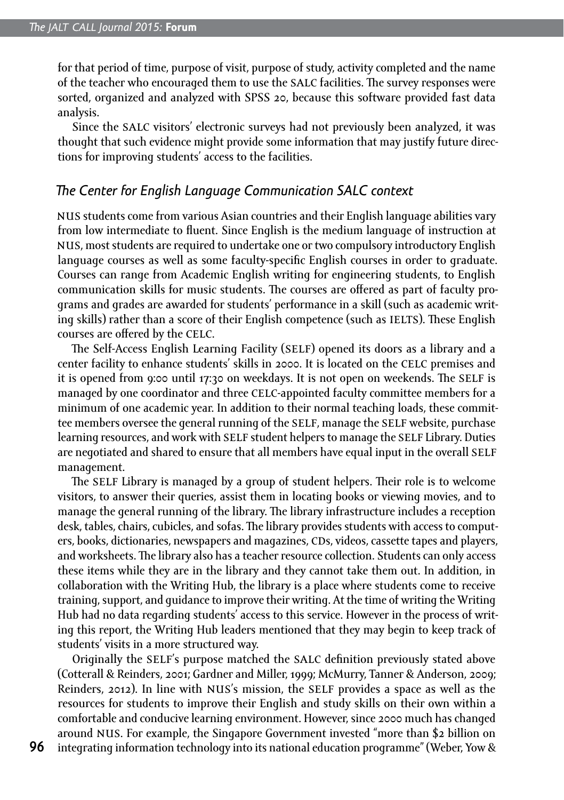for that period of time, purpose of visit, purpose of study, activity completed and the name of the teacher who encouraged them to use the salc facilities. The survey responses were sorted, organized and analyzed with SPSS 20, because this software provided fast data analysis.

Since the salc visitors' electronic surveys had not previously been analyzed, it was thought that such evidence might provide some information that may justify future directions for improving students' access to the facilities.

#### *The Center for English Language Communication SALC context*

nus students come from various Asian countries and their English language abilities vary from low intermediate to fluent. Since English is the medium language of instruction at nus, most students are required to undertake one or two compulsory introductory English language courses as well as some faculty-specific English courses in order to graduate. Courses can range from Academic English writing for engineering students, to English communication skills for music students. The courses are offered as part of faculty programs and grades are awarded for students' performance in a skill (such as academic writing skills) rather than a score of their English competence (such as IELTS). These English courses are offered by the celc.

The Self-Access English Learning Facility (SELF) opened its doors as a library and a center facility to enhance students' skills in 2000. It is located on the celc premises and it is opened from 9:00 until 17:30 on weekdays. It is not open on weekends. The self is managed by one coordinator and three celc-appointed faculty committee members for a minimum of one academic year. In addition to their normal teaching loads, these committee members oversee the general running of the self, manage the self website, purchase learning resources, and work with self student helpers to manage the self Library. Duties are negotiated and shared to ensure that all members have equal input in the overall SELF management.

The self Library is managed by a group of student helpers. Their role is to welcome visitors, to answer their queries, assist them in locating books or viewing movies, and to manage the general running of the library. The library infrastructure includes a reception desk, tables, chairs, cubicles, and sofas. The library provides students with access to computers, books, dictionaries, newspapers and magazines, CDs, videos, cassette tapes and players, and worksheets. The library also has a teacher resource collection. Students can only access these items while they are in the library and they cannot take them out. In addition, in collaboration with the Writing Hub, the library is a place where students come to receive training, support, and guidance to improve their writing. At the time of writing the Writing Hub had no data regarding students' access to this service. However in the process of writing this report, the Writing Hub leaders mentioned that they may begin to keep track of students' visits in a more structured way.

Originally the self's purpose matched the salc definition previously stated above (Cotterall & Reinders, 2001; Gardner and Miller, 1999; McMurry, Tanner & Anderson, 2009; Reinders, 2012). In line with nus's mission, the self provides a space as well as the resources for students to improve their English and study skills on their own within a comfortable and conducive learning environment. However, since 2000 much has changed around nus. For example, the Singapore Government invested "more than \$2 billion on integrating information technology into its national education programme" (Weber, Yow &

**96**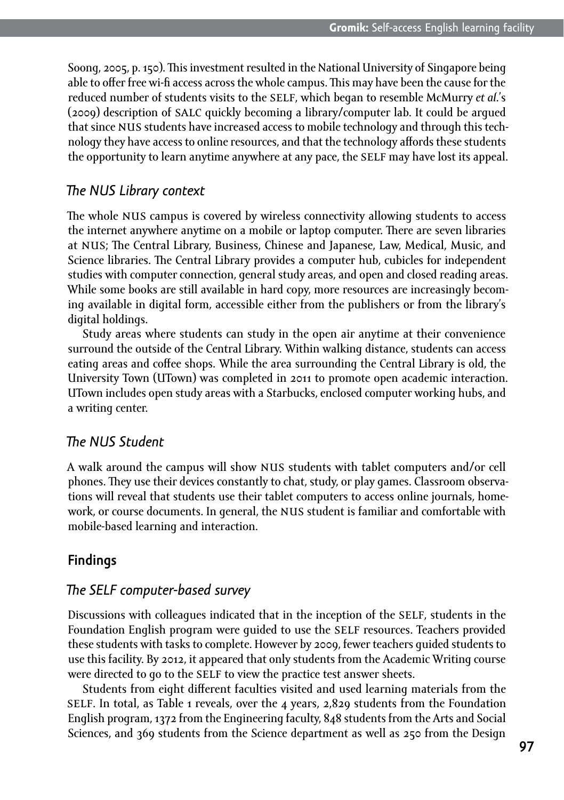Soong, 2005, p. 150). This investment resulted in the National University of Singapore being able to offer free wi-fi access across the whole campus. This may have been the cause for the reduced number of students visits to the self, which began to resemble McMurry *et al*.'s (2009) description of salc quickly becoming a library/computer lab. It could be argued that since NUS students have increased access to mobile technology and through this technology they have access to online resources, and that the technology affords these students the opportunity to learn anytime anywhere at any pace, the SELF may have lost its appeal.

#### *The NUS Library context*

The whole NUS campus is covered by wireless connectivity allowing students to access the internet anywhere anytime on a mobile or laptop computer. There are seven libraries at nus; The Central Library, Business, Chinese and Japanese, Law, Medical, Music, and Science libraries. The Central Library provides a computer hub, cubicles for independent studies with computer connection, general study areas, and open and closed reading areas. While some books are still available in hard copy, more resources are increasingly becoming available in digital form, accessible either from the publishers or from the library's digital holdings.

Study areas where students can study in the open air anytime at their convenience surround the outside of the Central Library. Within walking distance, students can access eating areas and coffee shops. While the area surrounding the Central Library is old, the University Town (UTown) was completed in 2011 to promote open academic interaction. UTown includes open study areas with a Starbucks, enclosed computer working hubs, and a writing center.

#### *The NUS Student*

A walk around the campus will show nus students with tablet computers and/or cell phones. They use their devices constantly to chat, study, or play games. Classroom observations will reveal that students use their tablet computers to access online journals, homework, or course documents. In general, the nus student is familiar and comfortable with mobile-based learning and interaction.

### **Findings**

#### *The SELF computer-based survey*

Discussions with colleagues indicated that in the inception of the self, students in the Foundation English program were guided to use the self resources. Teachers provided these students with tasks to complete. However by 2009, fewer teachers guided students to use this facility. By 2012, it appeared that only students from the Academic Writing course were directed to go to the SELF to view the practice test answer sheets.

Students from eight different faculties visited and used learning materials from the SELF. In total, as Table 1 reveals, over the 4 years,  $2,829$  students from the Foundation English program, 1372 from the Engineering faculty, 848 students from the Arts and Social Sciences, and 369 students from the Science department as well as 250 from the Design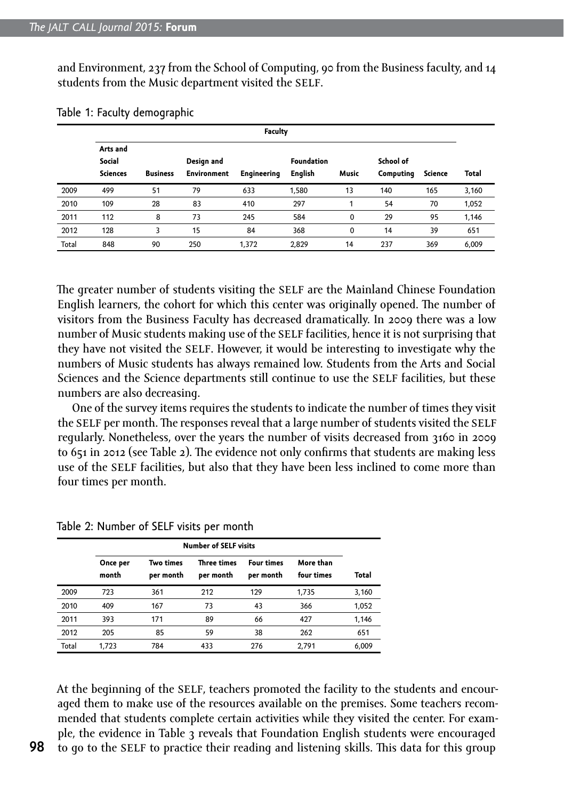and Environment, 237 from the School of Computing, 90 from the Business faculty, and 14 students from the Music department visited the SELF.

|       | Faculty                               |                 |                                  |                    |                                     |       |                        |         |       |
|-------|---------------------------------------|-----------------|----------------------------------|--------------------|-------------------------------------|-------|------------------------|---------|-------|
|       | Arts and<br>Social<br><b>Sciences</b> | <b>Business</b> | Design and<br><b>Environment</b> | <b>Engineering</b> | <b>Foundation</b><br><b>English</b> | Music | School of<br>Computing | Science | Total |
| 2009  | 499                                   | 51              | 79                               | 633                | 1,580                               | 13    | 140                    | 165     | 3,160 |
| 2010  | 109                                   | 28              | 83                               | 410                | 297                                 |       | 54                     | 70      | 1,052 |
| 2011  | 112                                   | 8               | 73                               | 245                | 584                                 | 0     | 29                     | 95      | 1,146 |
| 2012  | 128                                   | 3               | 15                               | 84                 | 368                                 | 0     | 14                     | 39      | 651   |
| Total | 848                                   | 90              | 250                              | 1.372              | 2.829                               | 14    | 237                    | 369     | 6.009 |

Table 1: Faculty demographic

The greater number of students visiting the SELF are the Mainland Chinese Foundation English learners, the cohort for which this center was originally opened. The number of visitors from the Business Faculty has decreased dramatically. In 2009 there was a low number of Music students making use of the self facilities, hence it is not surprising that they have not visited the SELF. However, it would be interesting to investigate why the numbers of Music students has always remained low. Students from the Arts and Social Sciences and the Science departments still continue to use the SELF facilities, but these numbers are also decreasing.

One of the survey items requires the students to indicate the number of times they visit the SELF per month. The responses reveal that a large number of students visited the SELF regularly. Nonetheless, over the years the number of visits decreased from 3160 in 2009 to 651 in 2012 (see Table 2). The evidence not only confirms that students are making less use of the SELF facilities, but also that they have been less inclined to come more than four times per month.

|       | <b>Number of SELF visits</b> |                               |                                 |                                |                         |       |  |
|-------|------------------------------|-------------------------------|---------------------------------|--------------------------------|-------------------------|-------|--|
|       | Once per<br>month            | <b>Two times</b><br>per month | <b>Three times</b><br>per month | <b>Four times</b><br>per month | More than<br>four times | Total |  |
| 2009  | 723                          | 361                           | 212                             | 129                            | 1,735                   | 3,160 |  |
| 2010  | 409                          | 167                           | 73                              | 43                             | 366                     | 1,052 |  |
| 2011  | 393                          | 171                           | 89                              | 66                             | 427                     | 1,146 |  |
| 2012  | 205                          | 85                            | 59                              | 38                             | 262                     | 651   |  |
| Total | 1.723                        | 784                           | 433                             | 276                            | 2,791                   | 6,009 |  |

Table 2: Number of SELF visits per month

At the beginning of the SELF, teachers promoted the facility to the students and encouraged them to make use of the resources available on the premises. Some teachers recommended that students complete certain activities while they visited the center. For example, the evidence in Table 3 reveals that Foundation English students were encouraged to go to the self to practice their reading and listening skills. This data for this group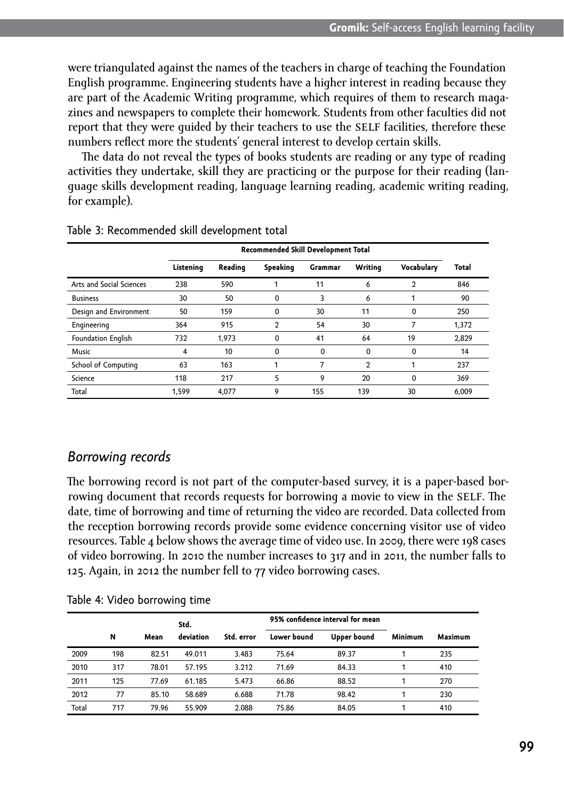were triangulated against the names of the teachers in charge of teaching the Foundation English programme. Engineering students have a higher interest in reading because they are part of the Academic Writing programme, which requires of them to research magazines and newspapers to complete their homework. Students from other faculties did not report that they were quided by their teachers to use the SELF facilities, therefore these numbers reflect more the students' general interest to develop certain skills.

The data do not reveal the types of books students are reading or any type of reading activities they undertake, skill they are practicing or the purpose for their reading (language skills development reading, language learning reading, academic writing reading, for example).

|                          |           | Recommended Skill Development Total |                |         |                |            |       |
|--------------------------|-----------|-------------------------------------|----------------|---------|----------------|------------|-------|
|                          | Listening | Reading                             | Speaking       | Grammar | Writing        | Vocabulary | Total |
| Arts and Social Sciences | 238       | 590                                 |                | 11      | 6              | 2          | 846   |
| <b>Business</b>          | 30        | 50                                  | $\Omega$       | 3       | 6              |            | 90    |
| Design and Environment   | 50        | 159                                 | 0              | 30      | 11             | $\Omega$   | 250   |
| Engineering              | 364       | 915                                 | $\mathfrak{p}$ | 54      | 30             |            | 1.372 |
| Foundation English       | 732       | 1.973                               | $\Omega$       | 41      | 64             | 19         | 2.829 |
| Music                    | 4         | 10                                  | $\Omega$       | 0       | $\mathbf 0$    | 0          | 14    |
| School of Computing      | 63        | 163                                 |                |         | $\overline{2}$ |            | 237   |
| Science                  | 118       | 217                                 | 5              | 9       | 20             | $\Omega$   | 369   |
| Total                    | 1.599     | 4.077                               | 9              | 155     | 139            | 30         | 6.009 |

#### Table 3: Recommended skill development total

#### *Borrowing records*

The borrowing record is not part of the computer-based survey, it is a paper-based borrowing document that records requests for borrowing a movie to view in the SELF. The date, time of borrowing and time of returning the video are recorded. Data collected from the reception borrowing records provide some evidence concerning visitor use of video resources. Table 4 below shows the average time of video use. In 2009, there were 198 cases of video borrowing. In 2010 the number increases to 317 and in 2011, the number falls to 125. Again, in 2012 the number fell to 77 video borrowing cases.

|       |     |       | Std.<br>deviation | Std. error |             | 95% confidence interval for mean | Minimum | Maximum |
|-------|-----|-------|-------------------|------------|-------------|----------------------------------|---------|---------|
|       | N   | Mean  |                   |            | Lower bound | Upper bound                      |         |         |
| 2009  | 198 | 82.51 | 49.011            | 3.483      | 75.64       | 89.37                            |         | 235     |
| 2010  | 317 | 78.01 | 57.195            | 3.212      | 71.69       | 84.33                            |         | 410     |
| 2011  | 125 | 77.69 | 61.185            | 5.473      | 66.86       | 88.52                            |         | 270     |
| 2012  | 77  | 85.10 | 58.689            | 6.688      | 71.78       | 98.42                            |         | 230     |
| Total | 717 | 79.96 | 55.909            | 2.088      | 75.86       | 84.05                            |         | 410     |

Table 4: Video borrowing time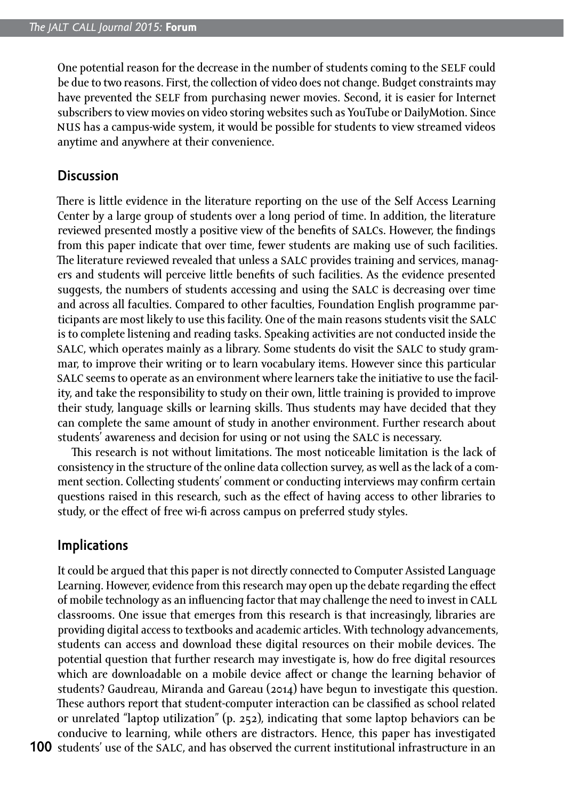One potential reason for the decrease in the number of students coming to the self could be due to two reasons. First, the collection of video does not change. Budget constraints may have prevented the SELF from purchasing newer movies. Second, it is easier for Internet subscribers to view movies on video storing websites such as YouTube or DailyMotion. Since nus has a campus-wide system, it would be possible for students to view streamed videos anytime and anywhere at their convenience.

#### **Discussion**

There is little evidence in the literature reporting on the use of the Self Access Learning Center by a large group of students over a long period of time. In addition, the literature reviewed presented mostly a positive view of the benefits of salcs. However, the findings from this paper indicate that over time, fewer students are making use of such facilities. The literature reviewed revealed that unless a salc provides training and services, managers and students will perceive little benefits of such facilities. As the evidence presented suggests, the numbers of students accessing and using the salc is decreasing over time and across all faculties. Compared to other faculties, Foundation English programme participants are most likely to use this facility. One of the main reasons students visit the salc is to complete listening and reading tasks. Speaking activities are not conducted inside the salc, which operates mainly as a library. Some students do visit the salc to study grammar, to improve their writing or to learn vocabulary items. However since this particular salc seems to operate as an environment where learners take the initiative to use the facility, and take the responsibility to study on their own, little training is provided to improve their study, language skills or learning skills. Thus students may have decided that they can complete the same amount of study in another environment. Further research about students' awareness and decision for using or not using the salc is necessary.

This research is not without limitations. The most noticeable limitation is the lack of consistency in the structure of the online data collection survey, as well as the lack of a comment section. Collecting students' comment or conducting interviews may confirm certain questions raised in this research, such as the effect of having access to other libraries to study, or the effect of free wi-fi across campus on preferred study styles.

#### **Implications**

100 students' use of the SALC, and has observed the current institutional infrastructure in an It could be argued that this paper is not directly connected to Computer Assisted Language Learning. However, evidence from this research may open up the debate regarding the effect of mobile technology as an influencing factor that may challenge the need to invest in call classrooms. One issue that emerges from this research is that increasingly, libraries are providing digital access to textbooks and academic articles. With technology advancements, students can access and download these digital resources on their mobile devices. The potential question that further research may investigate is, how do free digital resources which are downloadable on a mobile device affect or change the learning behavior of students? Gaudreau, Miranda and Gareau (2014) have begun to investigate this question. These authors report that student-computer interaction can be classified as school related or unrelated "laptop utilization" (p. 252), indicating that some laptop behaviors can be conducive to learning, while others are distractors. Hence, this paper has investigated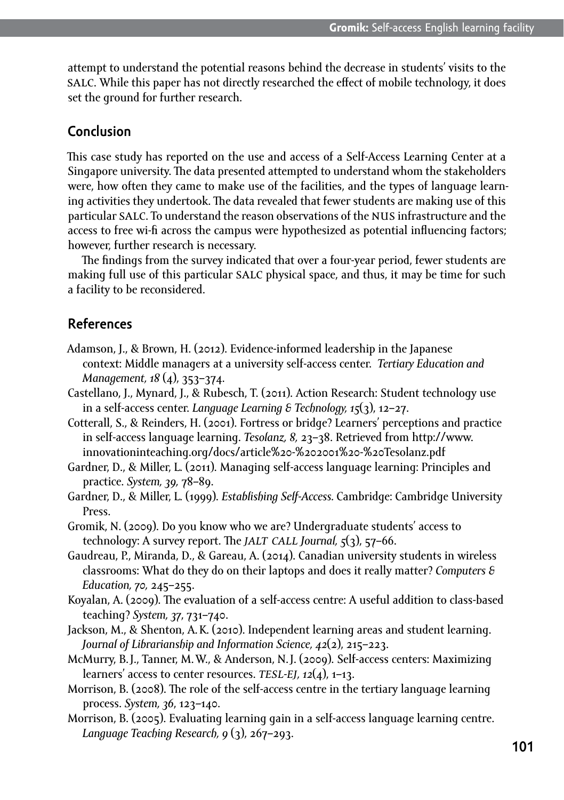attempt to understand the potential reasons behind the decrease in students' visits to the salc. While this paper has not directly researched the effect of mobile technology, it does set the ground for further research.

#### **Conclusion**

This case study has reported on the use and access of a Self-Access Learning Center at a Singapore university. The data presented attempted to understand whom the stakeholders were, how often they came to make use of the facilities, and the types of language learning activities they undertook. The data revealed that fewer students are making use of this particular salc. To understand the reason observations of the nus infrastructure and the access to free wi-fi across the campus were hypothesized as potential influencing factors; however, further research is necessary.

The findings from the survey indicated that over a four-year period, fewer students are making full use of this particular salc physical space, and thus, it may be time for such a facility to be reconsidered.

#### **References**

- Adamson, J., & Brown, H. (2012). Evidence-informed leadership in the Japanese context: Middle managers at a university self-access center. *Tertiary Education and Management, 18* (4), 353–374.
- Castellano, J., Mynard, J., & Rubesch, T. (2011). Action Research: Student technology use in a self-access center. *Language Learning & Technology, 15*(3), 12–27.
- Cotterall, S., & Reinders, H. (2001). Fortress or bridge? Learners' perceptions and practice in self-access language learning. *Tesolanz, 8,* 23–38. Retrieved from [http://www.](http://www.innovationinteaching.org/docs/article%2520-%25202001%2520-%2520Tesolanz.pdf) [innovationinteaching.org/docs/article%20-%202001%20-%20Tesolanz.pdf](http://www.innovationinteaching.org/docs/article%2520-%25202001%2520-%2520Tesolanz.pdf)
- Gardner, D., & Miller, L. (2011). Managing self-access language learning: Principles and practice. *System, 39,* 78–89.
- Gardner, D., & Miller, L. (1999). *Establishing Self-Access.* Cambridge: Cambridge University Press.
- Gromik, N. (2009). Do you know who we are? Undergraduate students' access to technology: A survey report. The *jalt call Journal, 5*(3), 57–66.
- Gaudreau, P., Miranda, D., & Gareau, A. (2014). Canadian university students in wireless classrooms: What do they do on their laptops and does it really matter? *Computers & Education, 70,* 245–255.
- Koyalan, A. (2009). The evaluation of a self-access centre: A useful addition to class-based teaching? *System, 37*, 731–740.
- Jackson, M., & Shenton, A.K. (2010). Independent learning areas and student learning. *Journal of Librarianship and Information Science, 42*(2), 215–223.
- McMurry, B.J., Tanner, M.W., & Anderson, N.J. (2009). Self-access centers: Maximizing learners' access to center resources. *tesl-ej, 12*(4), 1–13.
- Morrison, B. (2008). The role of the self-access centre in the tertiary language learning process. *System, 36*, 123–140.
- Morrison, B. (2005). Evaluating learning gain in a self-access language learning centre. *Language Teaching Research, 9* (3), 267–293.